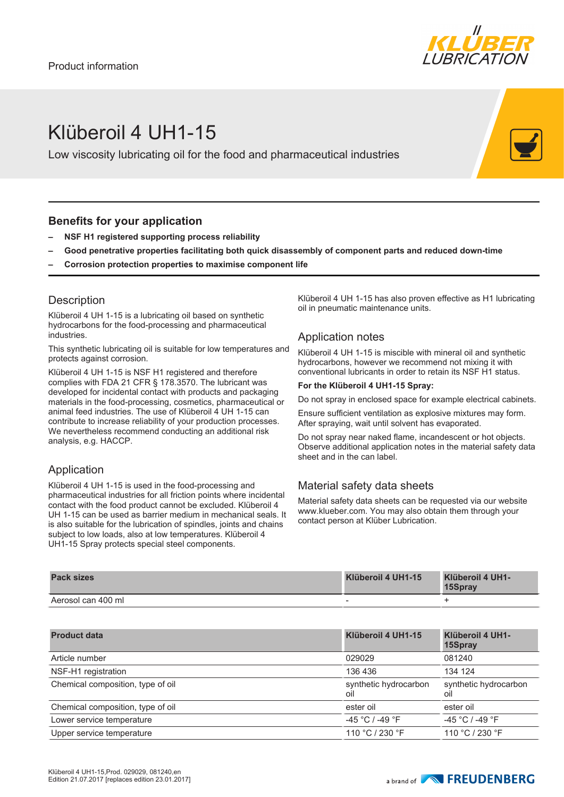

# Klüberoil 4 UH1-15

Low viscosity lubricating oil for the food and pharmaceutical industries

### **Benefits for your application**

- **– NSF H1 registered supporting process reliability**
- **– Good penetrative properties facilitating both quick disassembly of component parts and reduced down-time**
- **– Corrosion protection properties to maximise component life**

### **Description**

Klüberoil 4 UH 1-15 is a lubricating oil based on synthetic hydrocarbons for the food-processing and pharmaceutical industries.

This synthetic lubricating oil is suitable for low temperatures and protects against corrosion.

Klüberoil 4 UH 1-15 is NSF H1 registered and therefore complies with FDA 21 CFR § 178.3570. The lubricant was developed for incidental contact with products and packaging materials in the food-processing, cosmetics, pharmaceutical or animal feed industries. The use of Klüberoil 4 UH 1-15 can contribute to increase reliability of your production processes. We nevertheless recommend conducting an additional risk analysis, e.g. HACCP.

### Application

Klüberoil 4 UH 1-15 is used in the food-processing and pharmaceutical industries for all friction points where incidental contact with the food product cannot be excluded. Klüberoil 4 UH 1-15 can be used as barrier medium in mechanical seals. It is also suitable for the lubrication of spindles, joints and chains subject to low loads, also at low temperatures. Klüberoil 4 UH1-15 Spray protects special steel components.

Klüberoil 4 UH 1-15 has also proven effective as H1 lubricating oil in pneumatic maintenance units.

### Application notes

Klüberoil 4 UH 1-15 is miscible with mineral oil and synthetic hydrocarbons, however we recommend not mixing it with conventional lubricants in order to retain its NSF H1 status.

#### **For the Klüberoil 4 UH1-15 Spray:**

Do not spray in enclosed space for example electrical cabinets.

Ensure sufficient ventilation as explosive mixtures may form. After spraying, wait until solvent has evaporated.

Do not spray near naked flame, incandescent or hot objects. Observe additional application notes in the material safety data sheet and in the can label.

## Material safety data sheets

Material safety data sheets can be requested via our website www.klueber.com. You may also obtain them through your contact person at Klüber Lubrication.

| <b>Pack sizes</b>  | Klüberoil 4 UH1-15 | Klüberoil 4 UH1-<br>15Spray |
|--------------------|--------------------|-----------------------------|
| Aerosol can 400 ml | -                  |                             |

| <b>Product data</b>               | Klüberoil 4 UH1-15           | Klüberoil 4 UH1-<br>15Spray  |
|-----------------------------------|------------------------------|------------------------------|
| Article number                    | 029029                       | 081240                       |
| NSF-H1 registration               | 136 436                      | 134 124                      |
| Chemical composition, type of oil | synthetic hydrocarbon<br>oil | synthetic hydrocarbon<br>oil |
| Chemical composition, type of oil | ester oil                    | ester oil                    |
| Lower service temperature         | $-45 °C$ / -49 $°F$          | $-45 °C$ / $-49 °F$          |
| Upper service temperature         | 110 °C / 230 °F              | 110 °C / 230 °F              |